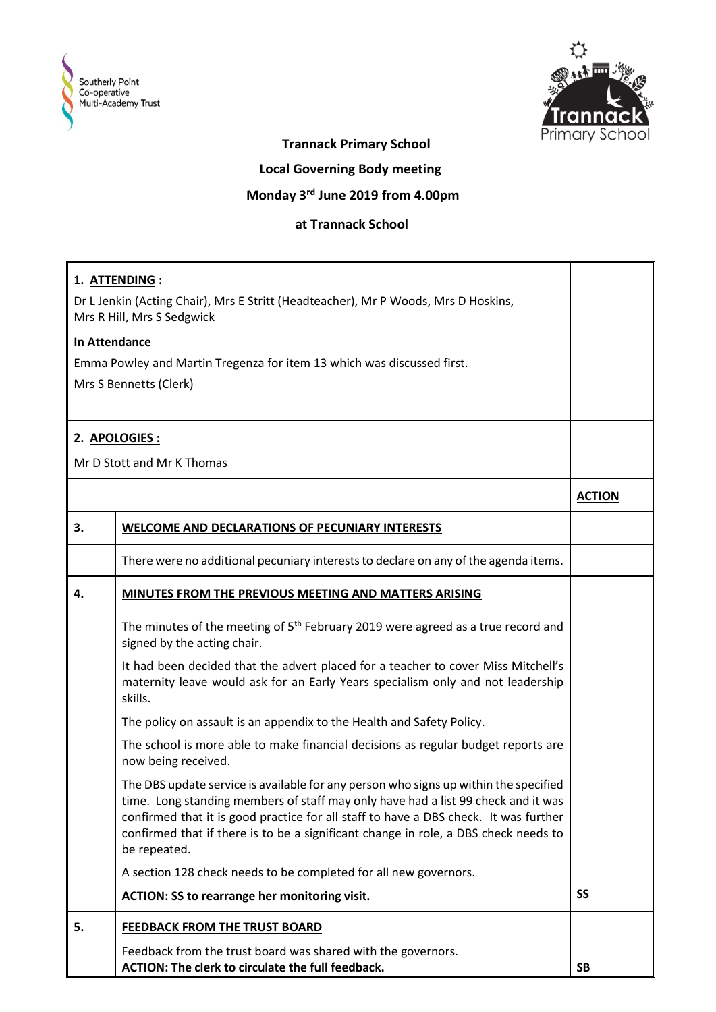



## **Trannack Primary School**

 **Local Governing Body meeting**

## **Monday 3rd June 2019 from 4.00pm**

## **at Trannack School**

| 1. ATTENDING :                                                                                                   |                                                                                                                                                                                                                                                                                                                                                                          |               |
|------------------------------------------------------------------------------------------------------------------|--------------------------------------------------------------------------------------------------------------------------------------------------------------------------------------------------------------------------------------------------------------------------------------------------------------------------------------------------------------------------|---------------|
| Dr L Jenkin (Acting Chair), Mrs E Stritt (Headteacher), Mr P Woods, Mrs D Hoskins,<br>Mrs R Hill, Mrs S Sedgwick |                                                                                                                                                                                                                                                                                                                                                                          |               |
| <b>In Attendance</b>                                                                                             |                                                                                                                                                                                                                                                                                                                                                                          |               |
|                                                                                                                  | Emma Powley and Martin Tregenza for item 13 which was discussed first.                                                                                                                                                                                                                                                                                                   |               |
|                                                                                                                  | Mrs S Bennetts (Clerk)                                                                                                                                                                                                                                                                                                                                                   |               |
|                                                                                                                  |                                                                                                                                                                                                                                                                                                                                                                          |               |
|                                                                                                                  |                                                                                                                                                                                                                                                                                                                                                                          |               |
|                                                                                                                  | 2. APOLOGIES :                                                                                                                                                                                                                                                                                                                                                           |               |
|                                                                                                                  | Mr D Stott and Mr K Thomas                                                                                                                                                                                                                                                                                                                                               |               |
|                                                                                                                  |                                                                                                                                                                                                                                                                                                                                                                          | <b>ACTION</b> |
| 3.                                                                                                               | WELCOME AND DECLARATIONS OF PECUNIARY INTERESTS                                                                                                                                                                                                                                                                                                                          |               |
|                                                                                                                  | There were no additional pecuniary interests to declare on any of the agenda items.                                                                                                                                                                                                                                                                                      |               |
| 4.                                                                                                               | MINUTES FROM THE PREVIOUS MEETING AND MATTERS ARISING                                                                                                                                                                                                                                                                                                                    |               |
|                                                                                                                  | The minutes of the meeting of 5 <sup>th</sup> February 2019 were agreed as a true record and<br>signed by the acting chair.                                                                                                                                                                                                                                              |               |
|                                                                                                                  | It had been decided that the advert placed for a teacher to cover Miss Mitchell's<br>maternity leave would ask for an Early Years specialism only and not leadership<br>skills.                                                                                                                                                                                          |               |
|                                                                                                                  | The policy on assault is an appendix to the Health and Safety Policy.                                                                                                                                                                                                                                                                                                    |               |
|                                                                                                                  | The school is more able to make financial decisions as regular budget reports are<br>now being received.                                                                                                                                                                                                                                                                 |               |
|                                                                                                                  | The DBS update service is available for any person who signs up within the specified<br>time. Long standing members of staff may only have had a list 99 check and it was<br>confirmed that it is good practice for all staff to have a DBS check. It was further<br>confirmed that if there is to be a significant change in role, a DBS check needs to<br>be repeated. |               |
|                                                                                                                  | A section 128 check needs to be completed for all new governors.                                                                                                                                                                                                                                                                                                         |               |
|                                                                                                                  | ACTION: SS to rearrange her monitoring visit.                                                                                                                                                                                                                                                                                                                            | <b>SS</b>     |
| 5.                                                                                                               | <b>FEEDBACK FROM THE TRUST BOARD</b>                                                                                                                                                                                                                                                                                                                                     |               |
|                                                                                                                  | Feedback from the trust board was shared with the governors.<br>ACTION: The clerk to circulate the full feedback.                                                                                                                                                                                                                                                        | <b>SB</b>     |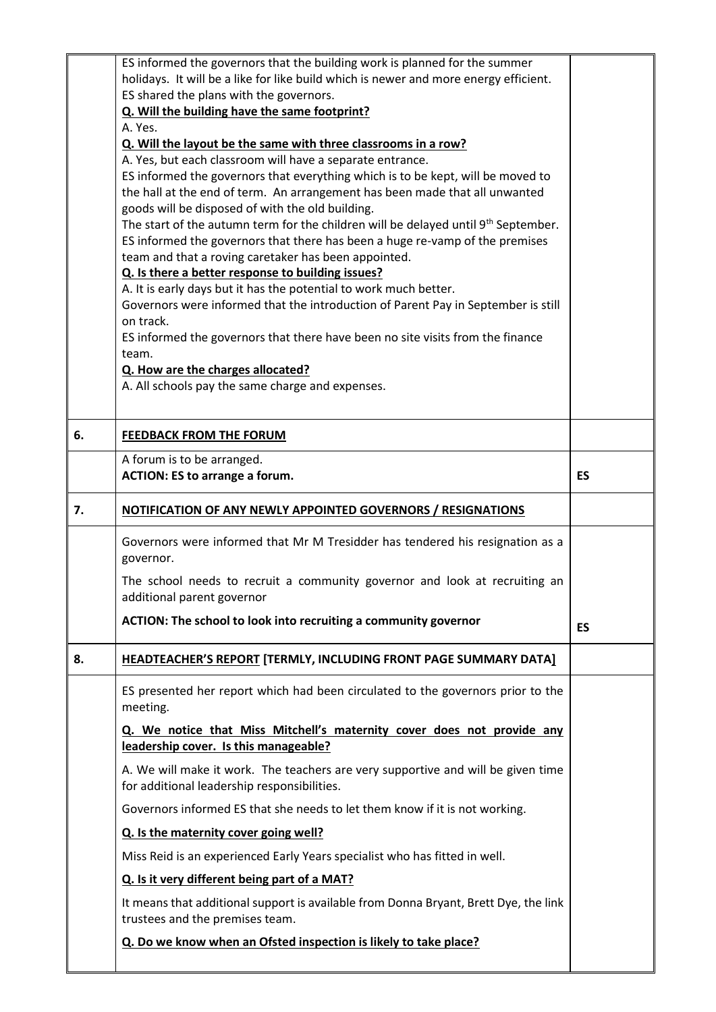|    | ES informed the governors that the building work is planned for the summer                                                                                     |    |
|----|----------------------------------------------------------------------------------------------------------------------------------------------------------------|----|
|    | holidays. It will be a like for like build which is newer and more energy efficient.<br>ES shared the plans with the governors.                                |    |
|    | Q. Will the building have the same footprint?                                                                                                                  |    |
|    | A. Yes.                                                                                                                                                        |    |
|    | Q. Will the layout be the same with three classrooms in a row?                                                                                                 |    |
|    | A. Yes, but each classroom will have a separate entrance.                                                                                                      |    |
|    | ES informed the governors that everything which is to be kept, will be moved to<br>the hall at the end of term. An arrangement has been made that all unwanted |    |
|    | goods will be disposed of with the old building.                                                                                                               |    |
|    | The start of the autumn term for the children will be delayed until 9 <sup>th</sup> September.                                                                 |    |
|    | ES informed the governors that there has been a huge re-vamp of the premises                                                                                   |    |
|    | team and that a roving caretaker has been appointed.                                                                                                           |    |
|    | Q. Is there a better response to building issues?<br>A. It is early days but it has the potential to work much better.                                         |    |
|    | Governors were informed that the introduction of Parent Pay in September is still                                                                              |    |
|    | on track.                                                                                                                                                      |    |
|    | ES informed the governors that there have been no site visits from the finance                                                                                 |    |
|    | team.                                                                                                                                                          |    |
|    | Q. How are the charges allocated?<br>A. All schools pay the same charge and expenses.                                                                          |    |
|    |                                                                                                                                                                |    |
|    |                                                                                                                                                                |    |
| 6. | <b>FEEDBACK FROM THE FORUM</b>                                                                                                                                 |    |
|    | A forum is to be arranged.                                                                                                                                     |    |
|    | <b>ACTION: ES to arrange a forum.</b>                                                                                                                          | ES |
| 7. | <b>NOTIFICATION OF ANY NEWLY APPOINTED GOVERNORS / RESIGNATIONS</b>                                                                                            |    |
|    | Governors were informed that Mr M Tresidder has tendered his resignation as a<br>governor.                                                                     |    |
|    | The school needs to recruit a community governor and look at recruiting an<br>additional parent governor                                                       |    |
|    | ACTION: The school to look into recruiting a community governor                                                                                                | ES |
|    |                                                                                                                                                                |    |
| 8. | HEADTEACHER'S REPORT [TERMLY, INCLUDING FRONT PAGE SUMMARY DATA]                                                                                               |    |
|    | ES presented her report which had been circulated to the governors prior to the<br>meeting.                                                                    |    |
|    | Q. We notice that Miss Mitchell's maternity cover does not provide any                                                                                         |    |
|    | leadership cover. Is this manageable?                                                                                                                          |    |
|    | A. We will make it work. The teachers are very supportive and will be given time<br>for additional leadership responsibilities.                                |    |
|    | Governors informed ES that she needs to let them know if it is not working.                                                                                    |    |
|    | Q. Is the maternity cover going well?                                                                                                                          |    |
|    | Miss Reid is an experienced Early Years specialist who has fitted in well.                                                                                     |    |
|    | Q. Is it very different being part of a MAT?                                                                                                                   |    |
|    | It means that additional support is available from Donna Bryant, Brett Dye, the link<br>trustees and the premises team.                                        |    |
|    | Q. Do we know when an Ofsted inspection is likely to take place?                                                                                               |    |
|    |                                                                                                                                                                |    |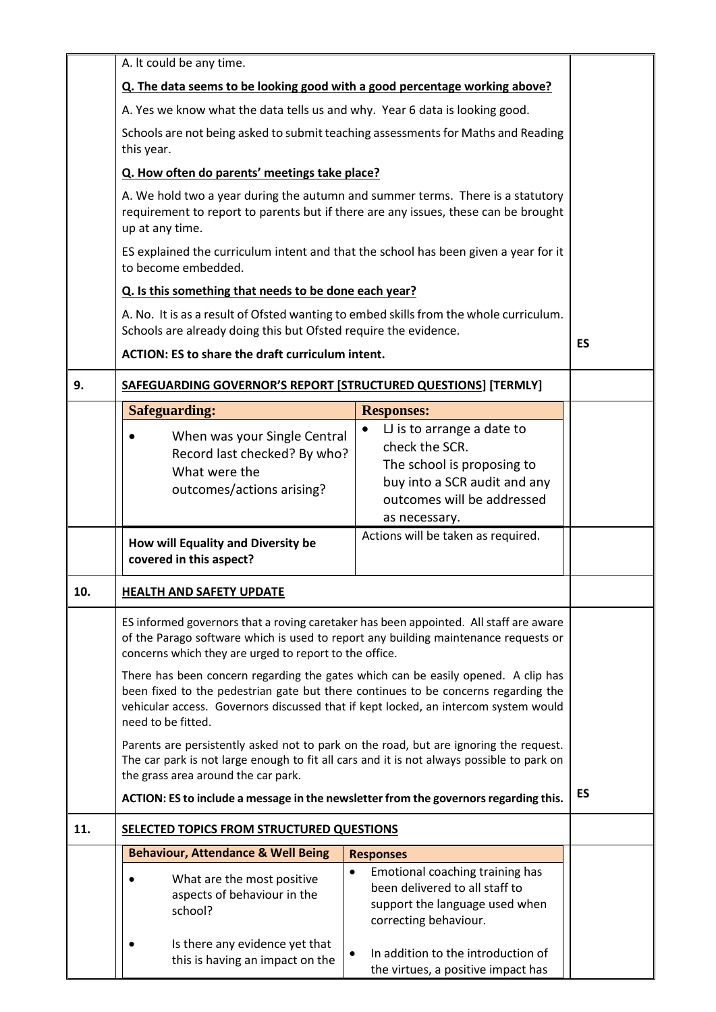|     | A. It could be any time.                                                                                                                                                                                                                                                                                                                                                                                                                                                                                                                                                                                                                                                                                                                                                                                                                            |                                                                                                                                                          |           |  |
|-----|-----------------------------------------------------------------------------------------------------------------------------------------------------------------------------------------------------------------------------------------------------------------------------------------------------------------------------------------------------------------------------------------------------------------------------------------------------------------------------------------------------------------------------------------------------------------------------------------------------------------------------------------------------------------------------------------------------------------------------------------------------------------------------------------------------------------------------------------------------|----------------------------------------------------------------------------------------------------------------------------------------------------------|-----------|--|
|     | Q. The data seems to be looking good with a good percentage working above?                                                                                                                                                                                                                                                                                                                                                                                                                                                                                                                                                                                                                                                                                                                                                                          |                                                                                                                                                          |           |  |
|     | A. Yes we know what the data tells us and why. Year 6 data is looking good.                                                                                                                                                                                                                                                                                                                                                                                                                                                                                                                                                                                                                                                                                                                                                                         |                                                                                                                                                          |           |  |
|     | Schools are not being asked to submit teaching assessments for Maths and Reading<br>this year.                                                                                                                                                                                                                                                                                                                                                                                                                                                                                                                                                                                                                                                                                                                                                      |                                                                                                                                                          |           |  |
|     | Q. How often do parents' meetings take place?                                                                                                                                                                                                                                                                                                                                                                                                                                                                                                                                                                                                                                                                                                                                                                                                       |                                                                                                                                                          |           |  |
|     | A. We hold two a year during the autumn and summer terms. There is a statutory<br>requirement to report to parents but if there are any issues, these can be brought<br>up at any time.<br>ES explained the curriculum intent and that the school has been given a year for it<br>to become embedded.<br>Q. Is this something that needs to be done each year?                                                                                                                                                                                                                                                                                                                                                                                                                                                                                      |                                                                                                                                                          |           |  |
|     |                                                                                                                                                                                                                                                                                                                                                                                                                                                                                                                                                                                                                                                                                                                                                                                                                                                     |                                                                                                                                                          |           |  |
|     |                                                                                                                                                                                                                                                                                                                                                                                                                                                                                                                                                                                                                                                                                                                                                                                                                                                     |                                                                                                                                                          |           |  |
|     | A. No. It is as a result of Ofsted wanting to embed skills from the whole curriculum.<br>Schools are already doing this but Ofsted require the evidence.<br><b>ACTION: ES to share the draft curriculum intent.</b>                                                                                                                                                                                                                                                                                                                                                                                                                                                                                                                                                                                                                                 |                                                                                                                                                          |           |  |
|     |                                                                                                                                                                                                                                                                                                                                                                                                                                                                                                                                                                                                                                                                                                                                                                                                                                                     |                                                                                                                                                          | <b>ES</b> |  |
| 9.  | SAFEGUARDING GOVERNOR'S REPORT [STRUCTURED QUESTIONS] [TERMLY]                                                                                                                                                                                                                                                                                                                                                                                                                                                                                                                                                                                                                                                                                                                                                                                      |                                                                                                                                                          |           |  |
|     | <b>Safeguarding:</b>                                                                                                                                                                                                                                                                                                                                                                                                                                                                                                                                                                                                                                                                                                                                                                                                                                | <b>Responses:</b>                                                                                                                                        |           |  |
|     | When was your Single Central<br>Record last checked? By who?<br>What were the<br>outcomes/actions arising?                                                                                                                                                                                                                                                                                                                                                                                                                                                                                                                                                                                                                                                                                                                                          | L is to arrange a date to<br>check the SCR.<br>The school is proposing to<br>buy into a SCR audit and any<br>outcomes will be addressed<br>as necessary. |           |  |
|     | How will Equality and Diversity be<br>covered in this aspect?                                                                                                                                                                                                                                                                                                                                                                                                                                                                                                                                                                                                                                                                                                                                                                                       | Actions will be taken as required.                                                                                                                       |           |  |
| 10. | <b>HEALTH AND SAFETY UPDATE</b>                                                                                                                                                                                                                                                                                                                                                                                                                                                                                                                                                                                                                                                                                                                                                                                                                     |                                                                                                                                                          |           |  |
|     | ES informed governors that a roving caretaker has been appointed. All staff are aware<br>of the Parago software which is used to report any building maintenance requests or<br>concerns which they are urged to report to the office.<br>There has been concern regarding the gates which can be easily opened. A clip has<br>been fixed to the pedestrian gate but there continues to be concerns regarding the<br>vehicular access. Governors discussed that if kept locked, an intercom system would<br>need to be fitted.<br>Parents are persistently asked not to park on the road, but are ignoring the request.<br>The car park is not large enough to fit all cars and it is not always possible to park on<br>the grass area around the car park.<br>ACTION: ES to include a message in the newsletter from the governors regarding this. |                                                                                                                                                          |           |  |
|     |                                                                                                                                                                                                                                                                                                                                                                                                                                                                                                                                                                                                                                                                                                                                                                                                                                                     |                                                                                                                                                          |           |  |
|     |                                                                                                                                                                                                                                                                                                                                                                                                                                                                                                                                                                                                                                                                                                                                                                                                                                                     |                                                                                                                                                          |           |  |
|     |                                                                                                                                                                                                                                                                                                                                                                                                                                                                                                                                                                                                                                                                                                                                                                                                                                                     |                                                                                                                                                          | <b>ES</b> |  |
| 11. | SELECTED TOPICS FROM STRUCTURED QUESTIONS                                                                                                                                                                                                                                                                                                                                                                                                                                                                                                                                                                                                                                                                                                                                                                                                           |                                                                                                                                                          |           |  |
|     | <b>Behaviour, Attendance &amp; Well Being</b>                                                                                                                                                                                                                                                                                                                                                                                                                                                                                                                                                                                                                                                                                                                                                                                                       | <b>Responses</b>                                                                                                                                         |           |  |
|     | What are the most positive<br>aspects of behaviour in the<br>school?                                                                                                                                                                                                                                                                                                                                                                                                                                                                                                                                                                                                                                                                                                                                                                                | Emotional coaching training has<br>$\bullet$<br>been delivered to all staff to<br>support the language used when<br>correcting behaviour.                |           |  |
|     | Is there any evidence yet that<br>this is having an impact on the                                                                                                                                                                                                                                                                                                                                                                                                                                                                                                                                                                                                                                                                                                                                                                                   | In addition to the introduction of<br>$\bullet$<br>the virtues, a positive impact has                                                                    |           |  |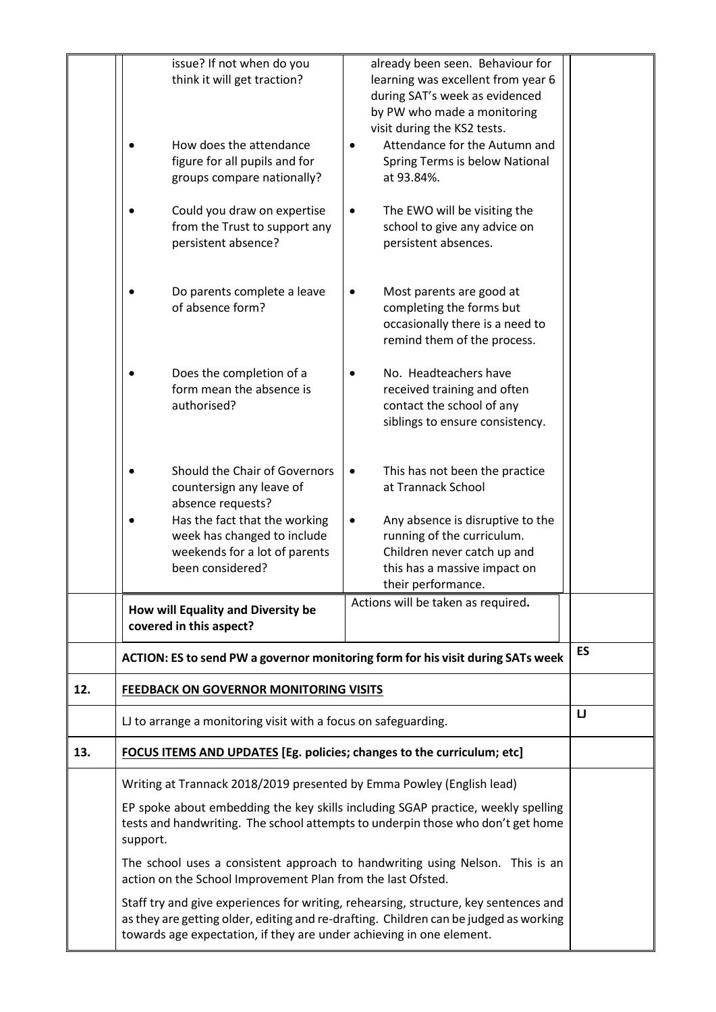|     | issue? If not when do you<br>think it will get traction?<br>How does the attendance<br>figure for all pupils and for<br>groups compare nationally?<br>Could you draw on expertise<br>from the Trust to support any<br>persistent absence?<br>Do parents complete a leave<br>of absence form?<br>Does the completion of a<br>form mean the absence is<br>authorised?<br>Should the Chair of Governors<br>countersign any leave of<br>absence requests?<br>Has the fact that the working<br>week has changed to include<br>weekends for a lot of parents<br>been considered? | already been seen. Behaviour for<br>learning was excellent from year 6<br>during SAT's week as evidenced<br>by PW who made a monitoring<br>visit during the KS2 tests.<br>Attendance for the Autumn and<br>Spring Terms is below National<br>at 93.84%.<br>The EWO will be visiting the<br>school to give any advice on<br>persistent absences.<br>Most parents are good at<br>completing the forms but<br>occasionally there is a need to<br>remind them of the process.<br>No. Headteachers have<br>received training and often<br>contact the school of any<br>siblings to ensure consistency.<br>This has not been the practice<br>٠<br>at Trannack School<br>Any absence is disruptive to the<br>running of the curriculum.<br>Children never catch up and<br>this has a massive impact on |           |
|-----|----------------------------------------------------------------------------------------------------------------------------------------------------------------------------------------------------------------------------------------------------------------------------------------------------------------------------------------------------------------------------------------------------------------------------------------------------------------------------------------------------------------------------------------------------------------------------|-------------------------------------------------------------------------------------------------------------------------------------------------------------------------------------------------------------------------------------------------------------------------------------------------------------------------------------------------------------------------------------------------------------------------------------------------------------------------------------------------------------------------------------------------------------------------------------------------------------------------------------------------------------------------------------------------------------------------------------------------------------------------------------------------|-----------|
|     | How will Equality and Diversity be<br>covered in this aspect?                                                                                                                                                                                                                                                                                                                                                                                                                                                                                                              | their performance.<br>Actions will be taken as required.                                                                                                                                                                                                                                                                                                                                                                                                                                                                                                                                                                                                                                                                                                                                        |           |
|     |                                                                                                                                                                                                                                                                                                                                                                                                                                                                                                                                                                            | ACTION: ES to send PW a governor monitoring form for his visit during SATs week                                                                                                                                                                                                                                                                                                                                                                                                                                                                                                                                                                                                                                                                                                                 | <b>ES</b> |
| 12. | FEEDBACK ON GOVERNOR MONITORING VISITS                                                                                                                                                                                                                                                                                                                                                                                                                                                                                                                                     |                                                                                                                                                                                                                                                                                                                                                                                                                                                                                                                                                                                                                                                                                                                                                                                                 |           |
|     | LJ to arrange a monitoring visit with a focus on safeguarding.                                                                                                                                                                                                                                                                                                                                                                                                                                                                                                             |                                                                                                                                                                                                                                                                                                                                                                                                                                                                                                                                                                                                                                                                                                                                                                                                 | IJ        |
| 13. | <b>FOCUS ITEMS AND UPDATES [Eg. policies; changes to the curriculum; etc]</b>                                                                                                                                                                                                                                                                                                                                                                                                                                                                                              |                                                                                                                                                                                                                                                                                                                                                                                                                                                                                                                                                                                                                                                                                                                                                                                                 |           |
|     | Writing at Trannack 2018/2019 presented by Emma Powley (English lead)                                                                                                                                                                                                                                                                                                                                                                                                                                                                                                      |                                                                                                                                                                                                                                                                                                                                                                                                                                                                                                                                                                                                                                                                                                                                                                                                 |           |
|     | EP spoke about embedding the key skills including SGAP practice, weekly spelling<br>tests and handwriting. The school attempts to underpin those who don't get home<br>support.                                                                                                                                                                                                                                                                                                                                                                                            |                                                                                                                                                                                                                                                                                                                                                                                                                                                                                                                                                                                                                                                                                                                                                                                                 |           |
|     | The school uses a consistent approach to handwriting using Nelson. This is an<br>action on the School Improvement Plan from the last Ofsted.                                                                                                                                                                                                                                                                                                                                                                                                                               |                                                                                                                                                                                                                                                                                                                                                                                                                                                                                                                                                                                                                                                                                                                                                                                                 |           |
|     | towards age expectation, if they are under achieving in one element.                                                                                                                                                                                                                                                                                                                                                                                                                                                                                                       | Staff try and give experiences for writing, rehearsing, structure, key sentences and<br>as they are getting older, editing and re-drafting. Children can be judged as working                                                                                                                                                                                                                                                                                                                                                                                                                                                                                                                                                                                                                   |           |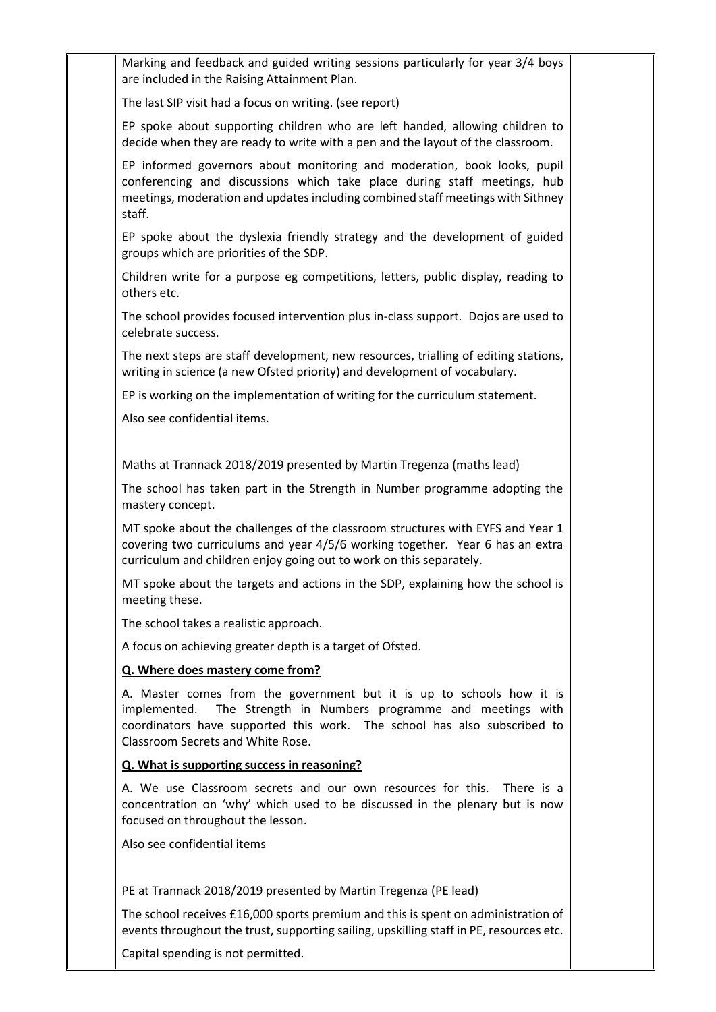| Marking and feedback and guided writing sessions particularly for year 3/4 boys<br>are included in the Raising Attainment Plan.                                                                                                                               |  |
|---------------------------------------------------------------------------------------------------------------------------------------------------------------------------------------------------------------------------------------------------------------|--|
| The last SIP visit had a focus on writing. (see report)                                                                                                                                                                                                       |  |
| EP spoke about supporting children who are left handed, allowing children to<br>decide when they are ready to write with a pen and the layout of the classroom.                                                                                               |  |
| EP informed governors about monitoring and moderation, book looks, pupil<br>conferencing and discussions which take place during staff meetings, hub<br>meetings, moderation and updates including combined staff meetings with Sithney<br>staff.             |  |
| EP spoke about the dyslexia friendly strategy and the development of guided<br>groups which are priorities of the SDP.                                                                                                                                        |  |
| Children write for a purpose eg competitions, letters, public display, reading to<br>others etc.                                                                                                                                                              |  |
| The school provides focused intervention plus in-class support. Dojos are used to<br>celebrate success.                                                                                                                                                       |  |
| The next steps are staff development, new resources, trialling of editing stations,<br>writing in science (a new Ofsted priority) and development of vocabulary.                                                                                              |  |
| EP is working on the implementation of writing for the curriculum statement.                                                                                                                                                                                  |  |
| Also see confidential items.                                                                                                                                                                                                                                  |  |
|                                                                                                                                                                                                                                                               |  |
| Maths at Trannack 2018/2019 presented by Martin Tregenza (maths lead)                                                                                                                                                                                         |  |
| The school has taken part in the Strength in Number programme adopting the<br>mastery concept.                                                                                                                                                                |  |
| MT spoke about the challenges of the classroom structures with EYFS and Year 1<br>covering two curriculums and year 4/5/6 working together. Year 6 has an extra<br>curriculum and children enjoy going out to work on this separately.                        |  |
| MT spoke about the targets and actions in the SDP, explaining how the school is<br>meeting these.                                                                                                                                                             |  |
| The school takes a realistic approach.                                                                                                                                                                                                                        |  |
| A focus on achieving greater depth is a target of Ofsted.                                                                                                                                                                                                     |  |
| Q. Where does mastery come from?                                                                                                                                                                                                                              |  |
| A. Master comes from the government but it is up to schools how it is<br>The Strength in Numbers programme and meetings with<br>implemented.<br>coordinators have supported this work. The school has also subscribed to<br>Classroom Secrets and White Rose. |  |
| Q. What is supporting success in reasoning?                                                                                                                                                                                                                   |  |
| A. We use Classroom secrets and our own resources for this. There is a<br>concentration on 'why' which used to be discussed in the plenary but is now<br>focused on throughout the lesson.                                                                    |  |
| Also see confidential items                                                                                                                                                                                                                                   |  |
|                                                                                                                                                                                                                                                               |  |
| PE at Trannack 2018/2019 presented by Martin Tregenza (PE lead)                                                                                                                                                                                               |  |
| The school receives £16,000 sports premium and this is spent on administration of<br>events throughout the trust, supporting sailing, upskilling staff in PE, resources etc.                                                                                  |  |

Capital spending is not permitted.